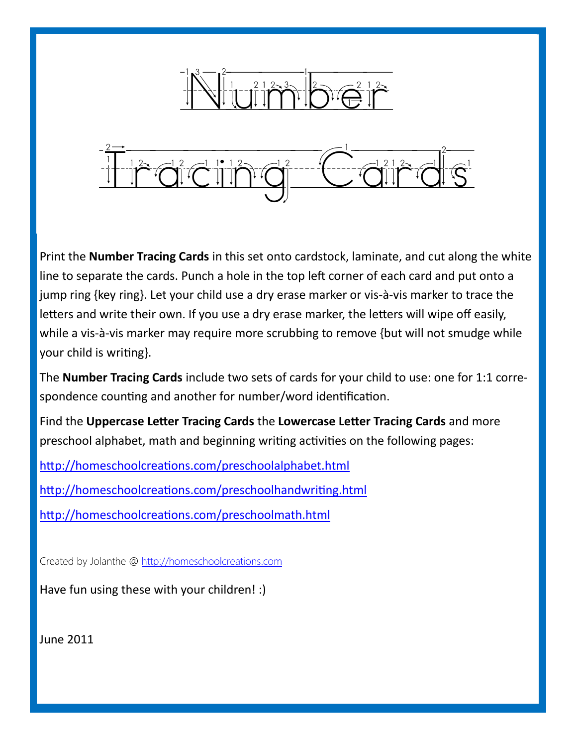$\frac{1}{2} \sum_{i=1}^n \left| \frac{1}{2} \prod_{i=1}^n \left| \frac{1}{2} \prod_{i=1}^n \frac{1}{2} \right|^2 \right|^2 \left| \frac{1}{2} \prod_{i=1}^n \left| \frac{1}{2} \prod_{i=1}^n \frac{1}{2} \right|^2 \right|^2$  $\frac{1}{2}$  $\frac{1}{2}$  $\frac{1}{2}$  $\frac{1}{2}$  $\frac{1}{2}$  $\frac{1}{2}$  $\frac{1}{2}$  $\frac{1}{2}$  $\frac{1}{2}$  $\frac{1}{2}$  $\frac{1}{2}$  $\frac{1}{2}$  $\frac{1}{2}$  $\frac{1}{2}$  $\frac{1}{2}$ 

Print the **Number Tracing Cards** in this set onto cardstock, laminate, and cut along the white line to separate the cards. Punch a hole in the top left corner of each card and put onto a jump ring {key ring}. Let your child use a dry erase marker or vis-à-vis marker to trace the letters and write their own. If you use a dry erase marker, the letters will wipe off easily, while a vis-à-vis marker may require more scrubbing to remove {but will not smudge while your child is writing}.

The **Number Tracing Cards** include two sets of cards for your child to use: one for 1:1 correspondence counting and another for number/word identification.

Find the **Uppercase Letter Tracing Cards** the **Lowercase Letter Tracing Cards** and more preschool alphabet, math and beginning writing activities on the following pages:

<http://homeschoolcreations.com/preschoolalphabet.html>

<http://homeschoolcreations.com/preschoolhandwriting.html>

<http://homeschoolcreations.com/preschoolmath.html>

Created by Jolanthe @ [http://homeschoolcreations.com](http://homeschoolcreations.blogspot.com)

Have fun using these with your children! :)

June 2011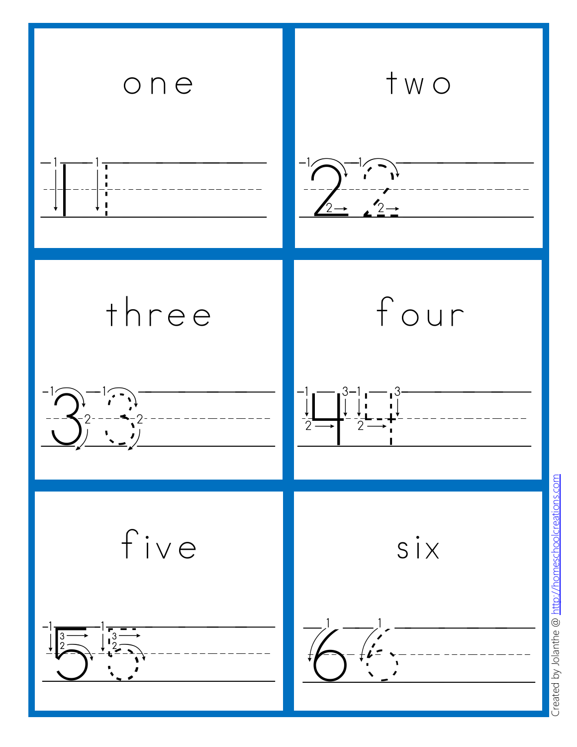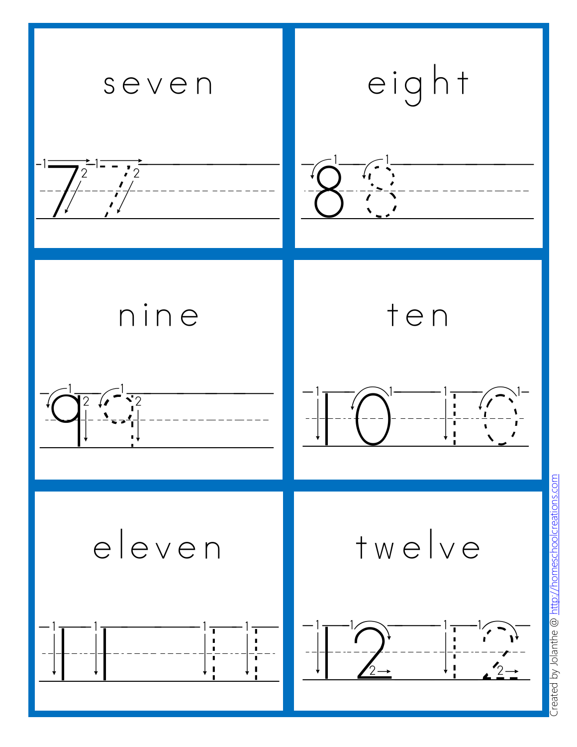

reated by Jolanthe @ http://homeschoolcreations.com Created by Jolanthe @ [http://homeschoolcreations.com](http://homeschoolcreations.blogspot.com)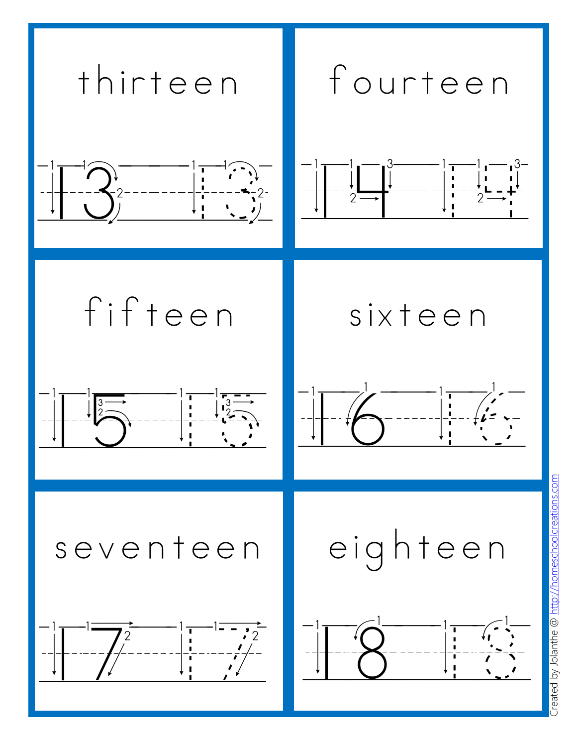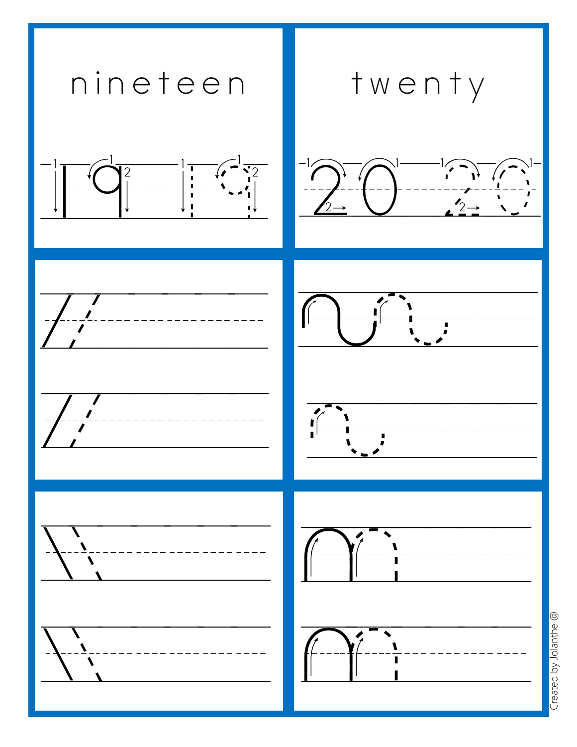

Created by Jolanthe @ Created by Jolanthe @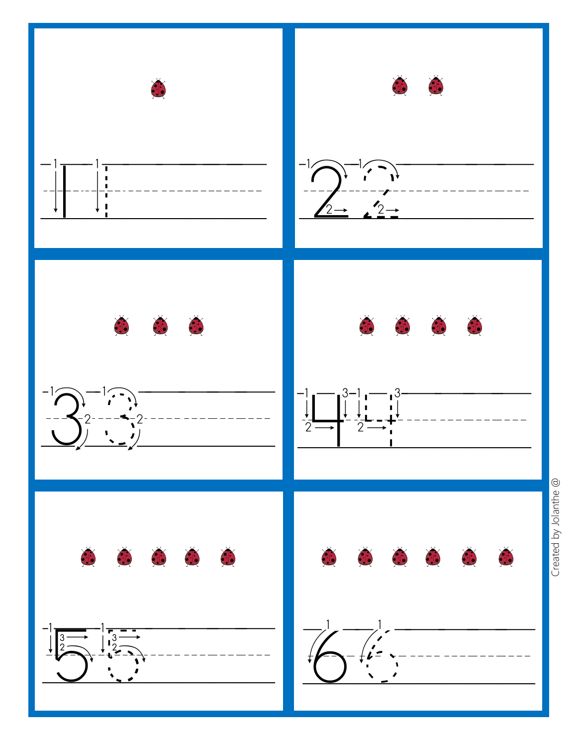

Created by Jolanthe @ Created by Jolanthe @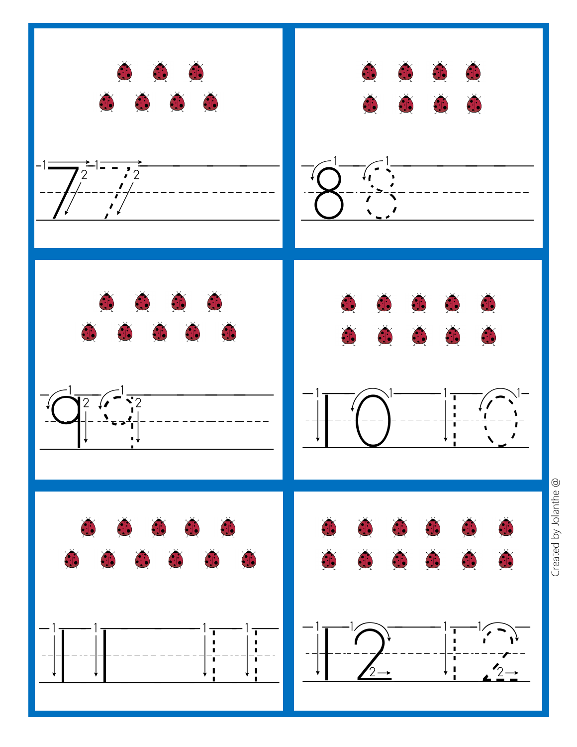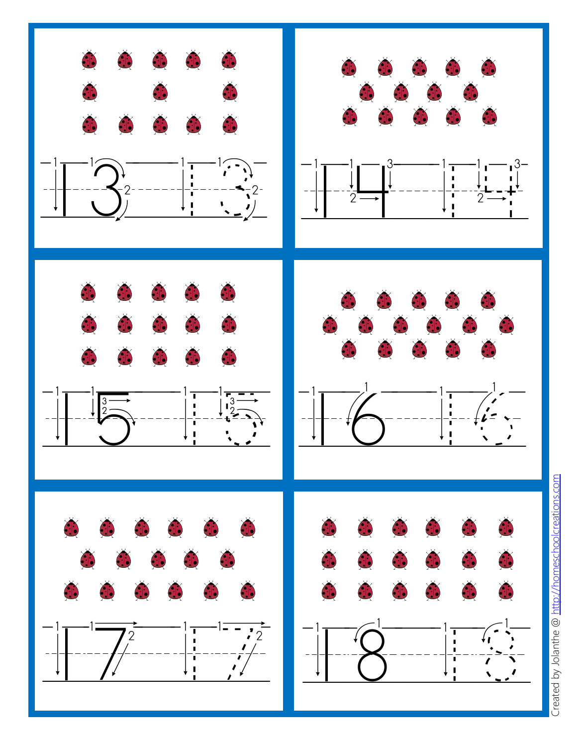